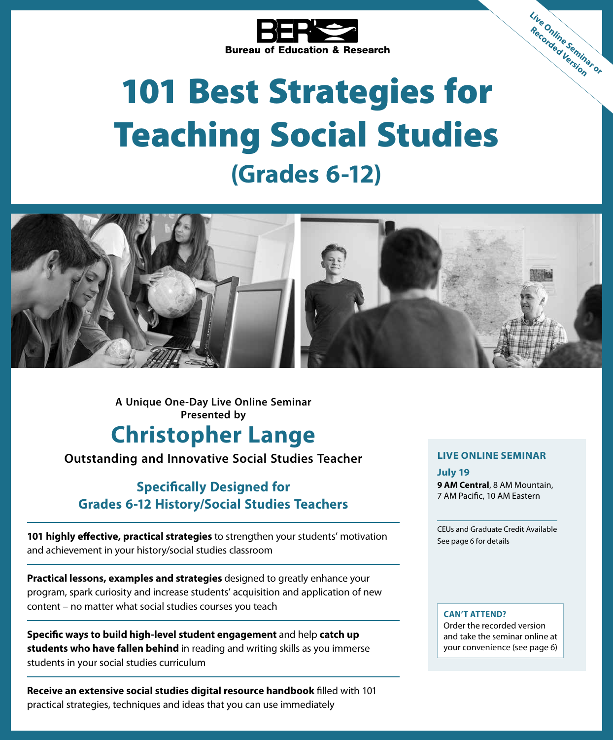

# 101 Best Strategies for Teaching Social Studies **(Grades 6-12)**



**A Unique One-Day Live Online Seminar Presented by**

# **Christopher Lange**

**Outstanding and Innovative Social Studies Teacher**

### **Specifically Designed for Grades 6-12 History/Social Studies Teachers**

**101 highly effective, practical strategies** to strengthen your students' motivation and achievement in your history/social studies classroom

**Practical lessons, examples and strategies** designed to greatly enhance your program, spark curiosity and increase students' acquisition and application of new content – no matter what social studies courses you teach

**Specific ways to build high-level student engagement** and help **catch up students who have fallen behind** in reading and writing skills as you immerse students in your social studies curriculum

**Receive an extensive social studies digital resource handbook** filled with 101 practical strategies, techniques and ideas that you can use immediately

#### **LIVE ONLINE SEMINAR**

**Live Online Seminar or Recorded Version**

**July 19 9 AM Central**, 8 AM Mountain, 7 AM Pacific, 10 AM Eastern

CEUs and Graduate Credit Available See page 6 for details

#### **CAN'T ATTEND?**

Order the recorded version and take the seminar online at your convenience (see page 6)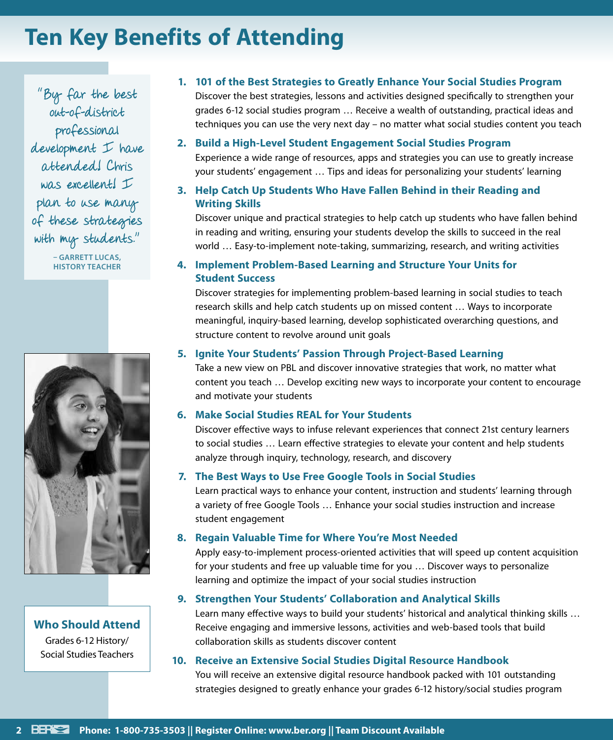# **Ten Key Benefits of Attending**

"By far the best out-of-district professional development I have attended! Chris was excellent! I plan to use many of these strategies with my students."

> **– GARRETT LUCAS, HISTORY TEACHER**



**Who Should Attend** Grades 6-12 History/ Social Studies Teachers

**1. 101 of the Best Strategies to Greatly Enhance Your Social Studies Program** Discover the best strategies, lessons and activities designed specifically to strengthen your

grades 6-12 social studies program … Receive a wealth of outstanding, practical ideas and techniques you can use the very next day – no matter what social studies content you teach

**2. Build a High-Level Student Engagement Social Studies Program**

Experience a wide range of resources, apps and strategies you can use to greatly increase your students' engagement … Tips and ideas for personalizing your students' learning

#### **3. Help Catch Up Students Who Have Fallen Behind in their Reading and Writing Skills**

Discover unique and practical strategies to help catch up students who have fallen behind in reading and writing, ensuring your students develop the skills to succeed in the real world … Easy-to-implement note-taking, summarizing, research, and writing activities

#### **4. Implement Problem-Based Learning and Structure Your Units for Student Success**

Discover strategies for implementing problem-based learning in social studies to teach research skills and help catch students up on missed content … Ways to incorporate meaningful, inquiry-based learning, develop sophisticated overarching questions, and structure content to revolve around unit goals

#### **5. Ignite Your Students' Passion Through Project-Based Learning**

Take a new view on PBL and discover innovative strategies that work, no matter what content you teach … Develop exciting new ways to incorporate your content to encourage and motivate your students

#### **6. Make Social Studies REAL for Your Students**

Discover effective ways to infuse relevant experiences that connect 21st century learners to social studies … Learn effective strategies to elevate your content and help students analyze through inquiry, technology, research, and discovery

#### **7. The Best Ways to Use Free Google Tools in Social Studies**

Learn practical ways to enhance your content, instruction and students' learning through a variety of free Google Tools … Enhance your social studies instruction and increase student engagement

#### **8. Regain Valuable Time for Where You're Most Needed**

Apply easy-to-implement process-oriented activities that will speed up content acquisition for your students and free up valuable time for you … Discover ways to personalize learning and optimize the impact of your social studies instruction

#### **9. Strengthen Your Students' Collaboration and Analytical Skills**

Learn many effective ways to build your students' historical and analytical thinking skills … Receive engaging and immersive lessons, activities and web-based tools that build collaboration skills as students discover content

#### **10. Receive an Extensive Social Studies Digital Resource Handbook**

You will receive an extensive digital resource handbook packed with 101 outstanding strategies designed to greatly enhance your grades 6-12 history/social studies program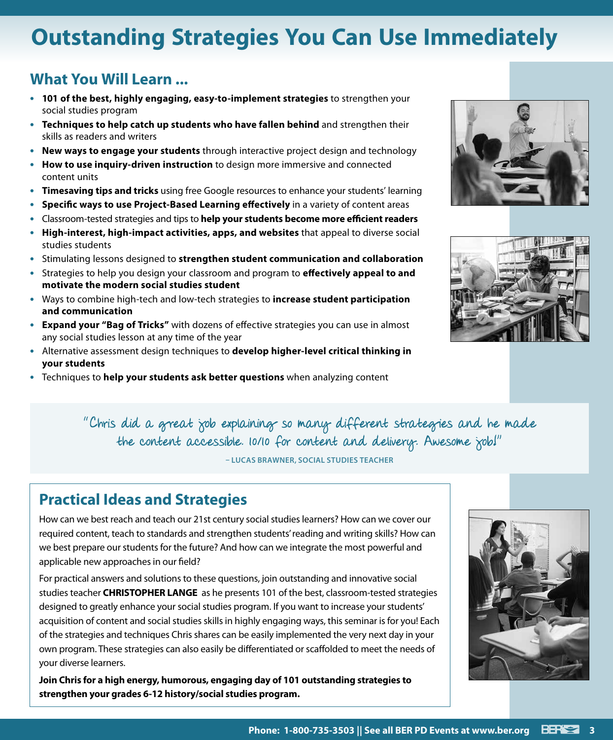# **Outstanding Strategies You Can Use Immediately**

### **What You Will Learn ...**

- **• 101 of the best, highly engaging, easy-to-implement strategies** to strengthen your social studies program
- **• Techniques to help catch up students who have fallen behind** and strengthen their skills as readers and writers
- **• New ways to engage your students** through interactive project design and technology
- **• How to use inquiry-driven instruction** to design more immersive and connected content units
- **• Timesaving tips and tricks** using free Google resources to enhance your students' learning
- **• Specific ways to use Project-Based Learning effectively** in a variety of content areas
- **•** Classroom-tested strategies and tips to **help your students become more efficient readers**
- **• High-interest, high-impact activities, apps, and websites** that appeal to diverse social studies students
- **•** Stimulating lessons designed to **strengthen student communication and collaboration**
- **•** Strategies to help you design your classroom and program to **effectively appeal to and motivate the modern social studies student**
- **•** Ways to combine high-tech and low-tech strategies to **increase student participation and communication**
- **• Expand your "Bag of Tricks"** with dozens of effective strategies you can use in almost any social studies lesson at any time of the year
- **•** Alternative assessment design techniques to **develop higher-level critical thinking in your students**
- **•** Techniques to **help your students ask better questions** when analyzing content





"Chris did a great job explaining so many different strategies and he made the content accessible. 10/10 for content and delivery. Awesome job!"

**– LUCAS BRAWNER, SOCIAL STUDIES TEACHER**

### **Practical Ideas and Strategies**

How can we best reach and teach our 21st century social studies learners? How can we cover our required content, teach to standards and strengthen students' reading and writing skills? How can we best prepare our students for the future? And how can we integrate the most powerful and applicable new approaches in our field?

For practical answers and solutions to these questions, join outstanding and innovative social studies teacher **CHRISTOPHER LANGE** as he presents 101 of the best, classroom-tested strategies designed to greatly enhance your social studies program. If you want to increase your students' acquisition of content and social studies skills in highly engaging ways, this seminar is for you! Each of the strategies and techniques Chris shares can be easily implemented the very next day in your own program. These strategies can also easily be differentiated or scaffolded to meet the needs of your diverse learners.

**Join Chris for a high energy, humorous, engaging day of 101 outstanding strategies to strengthen your grades 6-12 history/social studies program.**

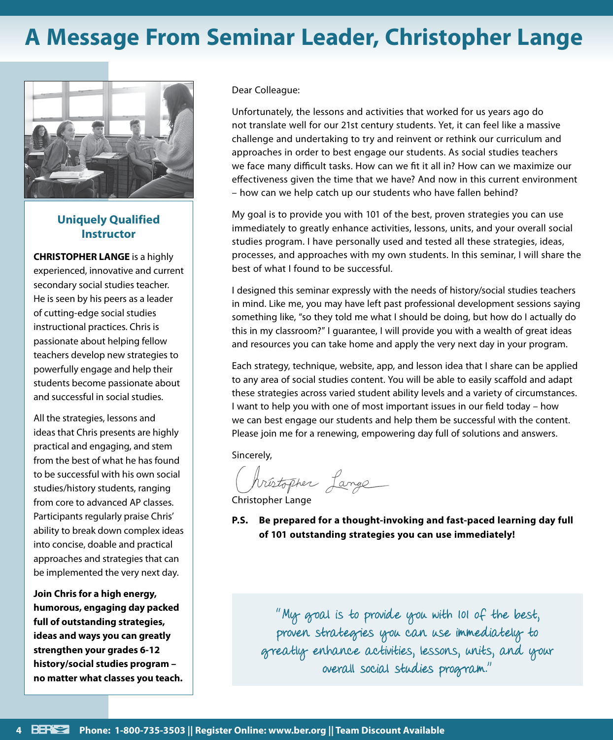# **A Message From Seminar Leader, Christopher Lange**



#### **Uniquely Qualified Instructor**

**CHRISTOPHER LANGE** is a highly experienced, innovative and current secondary social studies teacher. He is seen by his peers as a leader of cutting-edge social studies instructional practices. Chris is passionate about helping fellow teachers develop new strategies to powerfully engage and help their students become passionate about and successful in social studies.

All the strategies, lessons and ideas that Chris presents are highly practical and engaging, and stem from the best of what he has found to be successful with his own social studies/history students, ranging from core to advanced AP classes. Participants regularly praise Chris' ability to break down complex ideas into concise, doable and practical approaches and strategies that can be implemented the very next day.

**Join Chris for a high energy, humorous, engaging day packed full of outstanding strategies, ideas and ways you can greatly strengthen your grades 6-12 history/social studies program – no matter what classes you teach.** Dear Colleague:

Unfortunately, the lessons and activities that worked for us years ago do not translate well for our 21st century students. Yet, it can feel like a massive challenge and undertaking to try and reinvent or rethink our curriculum and approaches in order to best engage our students. As social studies teachers we face many difficult tasks. How can we fit it all in? How can we maximize our effectiveness given the time that we have? And now in this current environment – how can we help catch up our students who have fallen behind?

My goal is to provide you with 101 of the best, proven strategies you can use immediately to greatly enhance activities, lessons, units, and your overall social studies program. I have personally used and tested all these strategies, ideas, processes, and approaches with my own students. In this seminar, I will share the best of what I found to be successful.

I designed this seminar expressly with the needs of history/social studies teachers in mind. Like me, you may have left past professional development sessions saying something like, "so they told me what I should be doing, but how do I actually do this in my classroom?" I guarantee, I will provide you with a wealth of great ideas and resources you can take home and apply the very next day in your program.

Each strategy, technique, website, app, and lesson idea that I share can be applied to any area of social studies content. You will be able to easily scaffold and adapt these strategies across varied student ability levels and a variety of circumstances. I want to help you with one of most important issues in our field today – how we can best engage our students and help them be successful with the content. Please join me for a renewing, empowering day full of solutions and answers.

Sincerely,

hrústopher Lange

Christopher Lange

**P.S. Be prepared for a thought-invoking and fast-paced learning day full of 101 outstanding strategies you can use immediately!**

"My goal is to provide you with 101 of the best, proven strategies you can use immediately to greatly enhance activities, lessons, units, and your overall social studies program."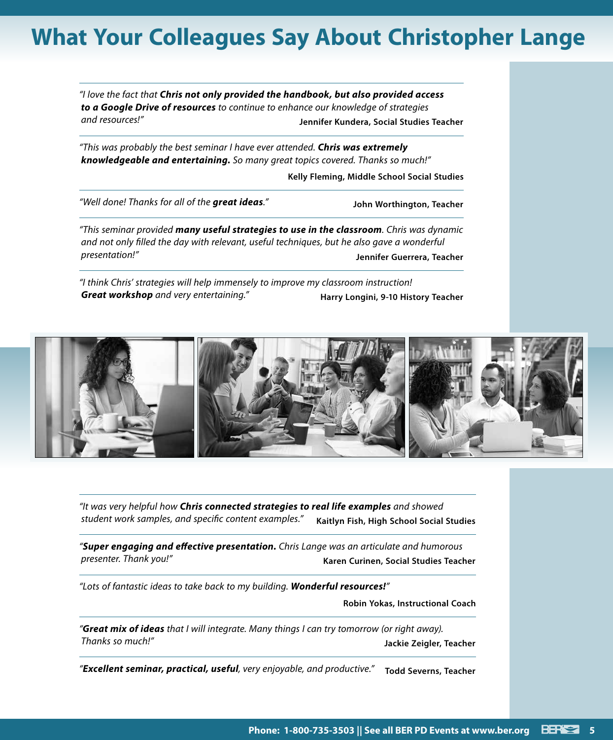# **What Your Colleagues Say About Christopher Lange**

*"I love the fact that Chris not only provided the handbook, but also provided access to a Google Drive of resources to continue to enhance our knowledge of strategies and resources!"* **Jennifer Kundera, Social Studies Teacher**

*"This was probably the best seminar I have ever attended. Chris was extremely knowledgeable and entertaining. So many great topics covered. Thanks so much!"*

**Kelly Fleming, Middle School Social Studies**

*"Well done! Thanks for all of the great ideas."* **John Worthington, Teacher**

*"This seminar provided many useful strategies to use in the classroom. Chris was dynamic and not only filled the day with relevant, useful techniques, but he also gave a wonderful presentation!"* **Jennifer Guerrera, Teacher**

*"I think Chris' strategies will help immensely to improve my classroom instruction!*  **Great workshop** and very entertaining." **Harry Longini, 9-10 History Teacher** 



*"It was very helpful how Chris connected strategies to real life examples and showed student work samples, and specific content examples."* **Kaitlyn Fish, High School Social Studies**

*"Super engaging and effective presentation. Chris Lange was an articulate and humorous presenter. Thank you!"* **Karen Curinen, Social Studies Teacher**

*"Lots of fantastic ideas to take back to my building. Wonderful resources!"*

**Robin Yokas, Instructional Coach**

*"Great mix of ideas that I will integrate. Many things I can try tomorrow (or right away). Thanks so much!"* **Jackie Zeigler, Teacher**

*"Excellent seminar, practical, useful, very enjoyable, and productive."* **Todd Severns, Teacher**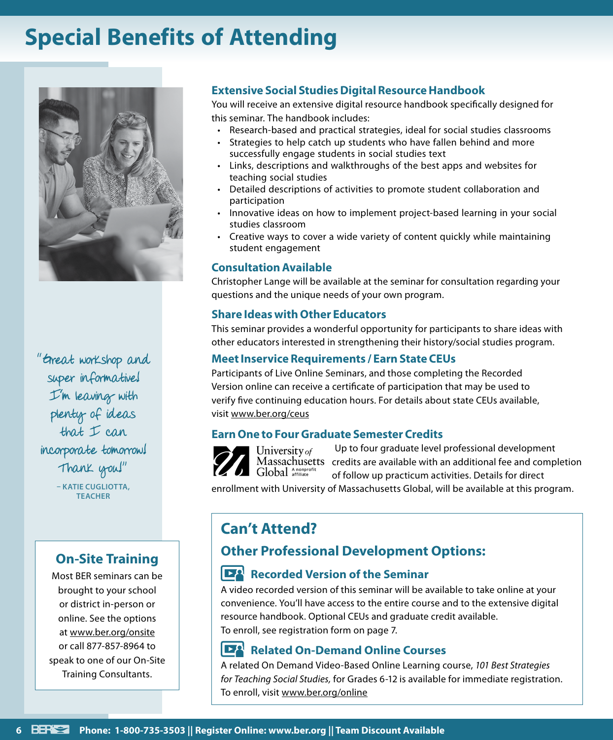# **Special Benefits of Attending**



"Great workshop and super informative! I'm leaving with plenty of ideas that I can incorporate tomorrow! Thank you!" **– KATIE CUGLIOTTA, TEACHER**

### **On-Site Training**

Most BER seminars can be brought to your school or district in-person or online. See the options at www.ber.org/onsite or call 877-857-8964 to speak to one of our On-Site Training Consultants.

#### **Extensive Social Studies Digital Resource Handbook**

You will receive an extensive digital resource handbook specifically designed for this seminar. The handbook includes:

- Research-based and practical strategies, ideal for social studies classrooms
- Strategies to help catch up students who have fallen behind and more successfully engage students in social studies text
- Links, descriptions and walkthroughs of the best apps and websites for teaching social studies
- Detailed descriptions of activities to promote student collaboration and participation
- Innovative ideas on how to implement project-based learning in your social studies classroom
- Creative ways to cover a wide variety of content quickly while maintaining student engagement

#### **Consultation Available**

Christopher Lange will be available at the seminar for consultation regarding your questions and the unique needs of your own program.

#### **Share Ideas with Other Educators**

This seminar provides a wonderful opportunity for participants to share ideas with other educators interested in strengthening their history/social studies program.

#### **Meet Inservice Requirements / Earn State CEUs**

Participants of Live Online Seminars, and those completing the Recorded Version online can receive a certificate of participation that may be used to verify five continuing education hours. For details about state CEUs available, visit www.ber.org/ceus

#### **Earn One to Four Graduate Semester Credits**



Up to four graduate level professional development University of Massachusetts credits are available with an additional fee and completion Global Anonprofit of follow up practicum activities. Details for direct

enrollment with University of Massachusetts Global, will be available at this program.

### **Can't Attend?**

### **Other Professional Development Options:**

#### **Recorded Version of the Seminar**

A video recorded version of this seminar will be available to take online at your convenience. You'll have access to the entire course and to the extensive digital resource handbook. Optional CEUs and graduate credit available. To enroll, see registration form on page 7.

#### **Related On-Demand Online Courses**

A related On Demand Video-Based Online Learning course, *101 Best Strategies for Teaching Social Studies,* for Grades 6-12 is available for immediate registration. To enroll, visit www.ber.org/online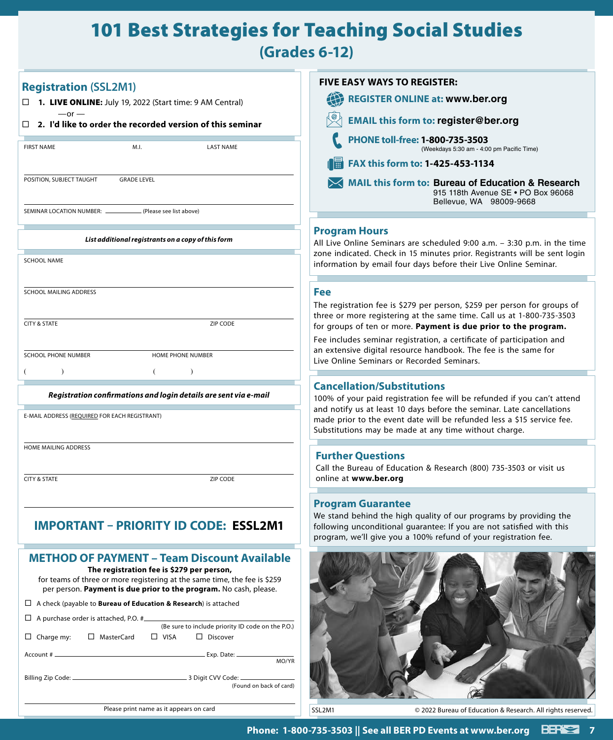### 101 Best Strategies for Teaching Social Studies

**(Grades 6-12)**

| <b>Registration (SSL2M1)</b>                                                                                                                                                 | <b>FIVE EASY WAYS TO REGISTER:</b>                                                                                                                                                                                   |
|------------------------------------------------------------------------------------------------------------------------------------------------------------------------------|----------------------------------------------------------------------------------------------------------------------------------------------------------------------------------------------------------------------|
| $\Box$ <b>1. LIVE ONLINE:</b> July 19, 2022 (Start time: 9 AM Central)                                                                                                       | 49<br><b>REGISTER ONLINE at: www.ber.org</b>                                                                                                                                                                         |
| $-$ or $-$<br>2. I'd like to order the recorded version of this seminar<br>П                                                                                                 | <b>EMAIL this form to: register@ber.org</b>                                                                                                                                                                          |
| <b>FIRST NAME</b><br>M.I.<br><b>LAST NAME</b>                                                                                                                                | PHONE toll-free: 1-800-735-3503<br>(Weekdays 5:30 am - 4:00 pm Pacific Time)                                                                                                                                         |
|                                                                                                                                                                              | FAX this form to: 1-425-453-1134                                                                                                                                                                                     |
| POSITION, SUBJECT TAUGHT<br><b>GRADE LEVEL</b>                                                                                                                               | MAIL this form to: Bureau of Education & Research<br>915 118th Avenue SE . PO Box 96068<br>Bellevue, WA 98009-9668                                                                                                   |
| SEMINAR LOCATION NUMBER: ______<br>(Please see list above)                                                                                                                   |                                                                                                                                                                                                                      |
| List additional registrants on a copy of this form                                                                                                                           | <b>Program Hours</b><br>All Live Online Seminars are scheduled 9:00 a.m. - 3:30 p.m. in the time<br>zone indicated. Check in 15 minutes prior. Registrants will be sent login                                        |
| <b>SCHOOL NAME</b>                                                                                                                                                           | information by email four days before their Live Online Seminar.                                                                                                                                                     |
| SCHOOL MAILING ADDRESS                                                                                                                                                       | Fee                                                                                                                                                                                                                  |
| <b>CITY &amp; STATE</b><br>ZIP CODE                                                                                                                                          | The registration fee is \$279 per person, \$259 per person for groups of<br>three or more registering at the same time. Call us at 1-800-735-3503<br>for groups of ten or more. Payment is due prior to the program. |
|                                                                                                                                                                              | Fee includes seminar registration, a certificate of participation and                                                                                                                                                |
| <b>SCHOOL PHONE NUMBER</b><br>HOME PHONE NUMBER                                                                                                                              | an extensive digital resource handbook. The fee is the same for<br>Live Online Seminars or Recorded Seminars.                                                                                                        |
| $\lambda$<br>$\lambda$                                                                                                                                                       |                                                                                                                                                                                                                      |
| Registration confirmations and login details are sent via e-mail                                                                                                             | <b>Cancellation/Substitutions</b><br>100% of your paid registration fee will be refunded if you can't attend                                                                                                         |
| E-MAIL ADDRESS (REQUIRED FOR EACH REGISTRANT)                                                                                                                                | and notify us at least 10 days before the seminar. Late cancellations<br>made prior to the event date will be refunded less a \$15 service fee.<br>Substitutions may be made at any time without charge.             |
| HOME MAILING ADDRESS                                                                                                                                                         | <b>Further Questions</b>                                                                                                                                                                                             |
|                                                                                                                                                                              | Call the Bureau of Education & Research (800) 735-3503 or visit us                                                                                                                                                   |
| CITY & STATE<br>ZIP CODE                                                                                                                                                     | online at www.ber.org                                                                                                                                                                                                |
|                                                                                                                                                                              | <b>Program Guarantee</b>                                                                                                                                                                                             |
| <b>IMPORTANT - PRIORITY ID CODE: ESSL2M1</b>                                                                                                                                 | We stand behind the high quality of our programs by providing the<br>following unconditional guarantee: If you are not satisfied with this<br>program, we'll give you a 100% refund of your registration fee.        |
| <b>METHOD OF PAYMENT - Team Discount Available</b><br>The registration fee is \$279 per person,<br>for teams of three or more registering at the same time, the fee is \$259 |                                                                                                                                                                                                                      |
| per person. Payment is due prior to the program. No cash, please.                                                                                                            |                                                                                                                                                                                                                      |
| $\Box$ A check (payable to <b>Bureau of Education &amp; Research</b> ) is attached                                                                                           |                                                                                                                                                                                                                      |
| □ A purchase order is attached, P.O. #<br>(Be sure to include priority ID code on the P.O.)                                                                                  |                                                                                                                                                                                                                      |
| $\Box$ Charge my: $\Box$ MasterCard<br>$\Box$ VISA<br>$\Box$ Discover                                                                                                        |                                                                                                                                                                                                                      |
| MO/YR                                                                                                                                                                        |                                                                                                                                                                                                                      |
| (Found on back of card)                                                                                                                                                      |                                                                                                                                                                                                                      |
| Please print name as it appears on card                                                                                                                                      | SSL2M1<br>© 2022 Bureau of Education & Research. All rights reserved.                                                                                                                                                |